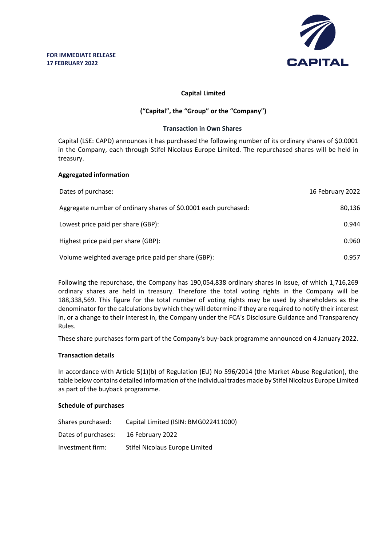

# **Capital Limited**

# **("Capital", the "Group" or the "Company")**

#### **Transaction in Own Shares**

Capital (LSE: CAPD) announces it has purchased the following number of its ordinary shares of \$0.0001 in the Company, each through Stifel Nicolaus Europe Limited. The repurchased shares will be held in treasury.

## **Aggregated information**

| Dates of purchase:                                              | 16 February 2022 |
|-----------------------------------------------------------------|------------------|
| Aggregate number of ordinary shares of \$0.0001 each purchased: | 80,136           |
| Lowest price paid per share (GBP):                              | 0.944            |
| Highest price paid per share (GBP):                             | 0.960            |
| Volume weighted average price paid per share (GBP):             | 0.957            |

Following the repurchase, the Company has 190,054,838 ordinary shares in issue, of which 1,716,269 ordinary shares are held in treasury. Therefore the total voting rights in the Company will be 188,338,569. This figure for the total number of voting rights may be used by shareholders as the denominator for the calculations by which they will determine if they are required to notify their interest in, or a change to their interest in, the Company under the FCA's Disclosure Guidance and Transparency Rules.

These share purchases form part of the Company's buy-back programme announced on 4 January 2022.

## **Transaction details**

In accordance with Article 5(1)(b) of Regulation (EU) No 596/2014 (the Market Abuse Regulation), the table below contains detailed information of the individual trades made by Stifel Nicolaus Europe Limited as part of the buyback programme.

## **Schedule of purchases**

| Shares purchased:   | Capital Limited (ISIN: BMG022411000) |
|---------------------|--------------------------------------|
| Dates of purchases: | 16 February 2022                     |
| Investment firm:    | Stifel Nicolaus Europe Limited       |